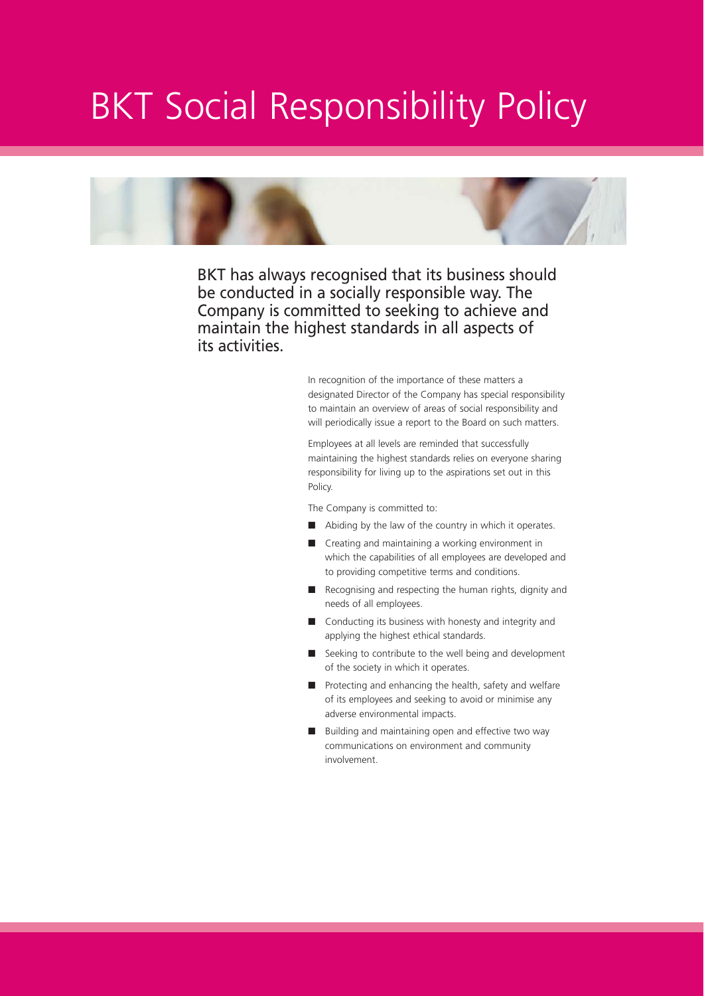## BKT Social Responsibility Policy



BKT has always recognised that its business should be conducted in a socially responsible way. The Company is committed to seeking to achieve and maintain the highest standards in all aspects of its activities.

> In recognition of the importance of these matters a designated Director of the Company has special responsibility to maintain an overview of areas of social responsibility and will periodically issue a report to the Board on such matters.

Employees at all levels are reminded that successfully maintaining the highest standards relies on everyone sharing responsibility for living up to the aspirations set out in this Policy.

The Company is committed to:

- Abiding by the law of the country in which it operates.
- Creating and maintaining a working environment in which the capabilities of all employees are developed and to providing competitive terms and conditions.
- Recognising and respecting the human rights, dignity and needs of all employees.
- Conducting its business with honesty and integrity and applying the highest ethical standards.
- Seeking to contribute to the well being and development of the society in which it operates.
- Protecting and enhancing the health, safety and welfare of its employees and seeking to avoid or minimise any adverse environmental impacts.
- Building and maintaining open and effective two way communications on environment and community involvement.